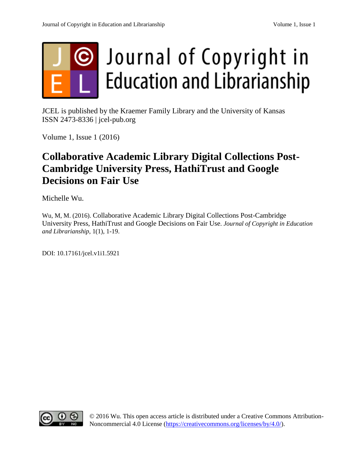

JCEL is published by the Kraemer Family Library and the University of Kansas ISSN 2473-8336 | jcel-pub.org

Volume 1, Issue 1 (2016)

# **Collaborative Academic Library Digital Collections Post-Cambridge University Press, HathiTrust and Google Decisions on Fair Use**

Michelle Wu.

Wu, M, M. (2016). Collaborative Academic Library Digital Collections Post-Cambridge University Press, HathiTrust and Google Decisions on Fair Use. *Journal of Copyright in Education and Librarianship*, 1(1), 1-19.

DOI: 10.17161/jcel.v1i1.5921



© 2016 Wu. This open access article is distributed under a Creative Commons Attribution-Noncommercial 4.0 License [\(https://creativecommons.org/licenses/by/4.0/\)](https://creativecommons.org/licenses/by/4.0/).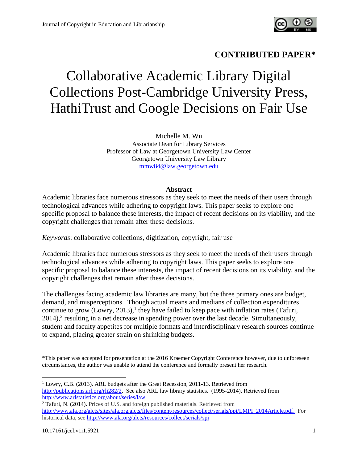

# **CONTRIBUTED PAPER\***

# Collaborative Academic Library Digital Collections Post-Cambridge University Press, HathiTrust and Google Decisions on Fair Use

Michelle M. Wu Associate Dean for Library Services Professor of Law at Georgetown University Law Center Georgetown University Law Library [mmw84@law.georgetown.edu](mailto:mmw84@law.georgetown.edu)

#### **Abstract**

Academic libraries face numerous stressors as they seek to meet the needs of their users through technological advances while adhering to copyright laws. This paper seeks to explore one specific proposal to balance these interests, the impact of recent decisions on its viability, and the copyright challenges that remain after these decisions.

*Keywords*: collaborative collections, digitization, copyright, fair use

Academic libraries face numerous stressors as they seek to meet the needs of their users through technological advances while adhering to copyright laws. This paper seeks to explore one specific proposal to balance these interests, the impact of recent decisions on its viability, and the copyright challenges that remain after these decisions.

The challenges facing academic law libraries are many, but the three primary ones are budget, demand, and misperceptions. Though actual means and medians of collection expenditures continue to grow (Lowry, 2013),<sup>1</sup> they have failed to keep pace with inflation rates (Tafuri,  $2014$ ,<sup>2</sup> resulting in a net decrease in spending power over the last decade. Simultaneously, student and faculty appetites for multiple formats and interdisciplinary research sources continue to expand, placing greater strain on shrinking budgets.

\*This paper was accepted for presentation at the 2016 Kraemer Copyright Conference however, due to unforeseen circumstances, the author was unable to attend the conference and formally present her research.

<sup>1</sup> Lowry, C.B. (2013). ARL budgets after the Great Recession, 2011-13. Retrieved from [http://publications.arl.org/rli282/2.](http://publications.arl.org/rli282/2) See also ARL law library statistics. (1995-2014). Retrieved from <http://www.arlstatistics.org/about/series/law>

<sup>2</sup> Tafuri, N. (2014). Prices of U.S. and foreign published materials. Retrieved from [http://www.ala.org/alcts/sites/ala.org.alcts/files/content/resources/collect/serials/ppi/LMPI\\_2014Article.pdf.](http://www.ala.org/alcts/sites/ala.org.alcts/files/content/resources/collect/serials/ppi/LMPI_2014Article.pdf) For historical data, se[e http://www.ala.org/alcts/resources/collect/serials/spi](http://www.ala.org/alcts/resources/collect/serials/spi)

l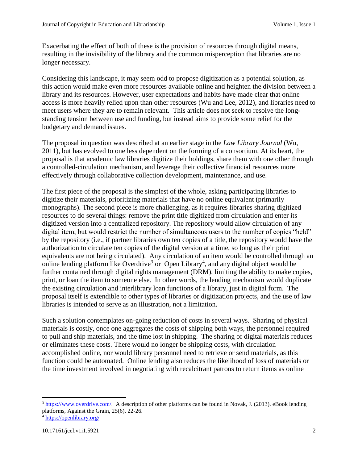Exacerbating the effect of both of these is the provision of resources through digital means, resulting in the invisibility of the library and the common misperception that libraries are no longer necessary.

Considering this landscape, it may seem odd to propose digitization as a potential solution, as this action would make even more resources available online and heighten the division between a library and its resources. However, user expectations and habits have made clear that online access is more heavily relied upon than other resources (Wu and Lee, 2012), and libraries need to meet users where they are to remain relevant. This article does not seek to resolve the longstanding tension between use and funding, but instead aims to provide some relief for the budgetary and demand issues.

The proposal in question was described at an earlier stage in the *Law Library Journal* (Wu, 2011), but has evolved to one less dependent on the forming of a consortium. At its heart, the proposal is that academic law libraries digitize their holdings, share them with one other through a controlled-circulation mechanism, and leverage their collective financial resources more effectively through collaborative collection development, maintenance, and use.

The first piece of the proposal is the simplest of the whole, asking participating libraries to digitize their materials, prioritizing materials that have no online equivalent (primarily monographs). The second piece is more challenging, as it requires libraries sharing digitized resources to do several things: remove the print title digitized from circulation and enter its digitized version into a centralized repository. The repository would allow circulation of any digital item, but would restrict the number of simultaneous users to the number of copies "held" by the repository (i.e., if partner libraries own ten copies of a title, the repository would have the authorization to circulate ten copies of the digital version at a time, so long as their print equivalents are not being circulated). Any circulation of an item would be controlled through an online lending platform like Overdrive<sup>3</sup> or Open Library<sup>4</sup>, and any digital object would be further contained through digital rights management (DRM), limiting the ability to make copies, print, or loan the item to someone else. In other words, the lending mechanism would duplicate the existing circulation and interlibrary loan functions of a library, just in digital form. The proposal itself is extendible to other types of libraries or digitization projects, and the use of law libraries is intended to serve as an illustration, not a limitation.

Such a solution contemplates on-going reduction of costs in several ways. Sharing of physical materials is costly, once one aggregates the costs of shipping both ways, the personnel required to pull and ship materials, and the time lost in shipping. The sharing of digital materials reduces or eliminates these costs. There would no longer be shipping costs, with circulation accomplished online, nor would library personnel need to retrieve or send materials, as this function could be automated. Online lending also reduces the likelihood of loss of materials or the time investment involved in negotiating with recalcitrant patrons to return items as online

<sup>3</sup> [https://www.overdrive.com/.](https://www.overdrive.com/) A description of other platforms can be found in Novak, J. (2013). eBook lending platforms, Against the Grain, 25(6), 22-26.

<sup>4</sup> <https://openlibrary.org/>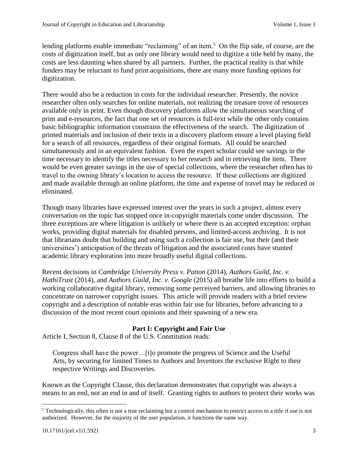lending platforms enable immediate "reclaiming" of an item.<sup>5</sup> On the flip side, of course, are the costs of digitization itself, but as only one library would need to digitize a title held by many, the costs are less daunting when shared by all partners. Further, the practical reality is that while funders may be reluctant to fund print acquisitions, there are many more funding options for digitization.

There would also be a reduction in costs for the individual researcher. Presently, the novice researcher often only searches for online materials, not realizing the treasure trove of resources available only in print. Even though discovery platforms allow the simultaneous searching of print and e-resources, the fact that one set of resources is full-text while the other only contains basic bibliographic information constrains the effectiveness of the search. The digitization of printed materials and inclusion of their texts in a discovery platform ensure a level playing field for a search of all resources, regardless of their original formats. All could be searched simultaneously and in an equivalent fashion. Even the expert scholar could see savings in the time necessary to identify the titles necessary to her research and in retrieving the item. There would be even greater savings in the use of special collections, where the researcher often has to travel to the owning library's location to access the resource. If these collections are digitized and made available through an online platform, the time and expense of travel may be reduced or eliminated.

Though many libraries have expressed interest over the years in such a project, almost every conversation on the topic has stopped once in-copyright materials come under discussion. The three exceptions are where litigation is unlikely or where there is an accepted exception: orphan works, providing digital materials for disabled persons, and limited-access archiving. It is not that librarians doubt that building and using such a collection is fair use, but their (and their universities') anticipation of the threats of litigation and the associated costs have stunted academic library exploration into more broadly useful digital collections.

Recent decisions in *Cambridge University Press v. Patton* (2014), *Authors Guild, Inc. v. HathiTrust* (2014), and *Authors Guild, Inc. v. Google* (2015) all breathe life into efforts to build a working collaborative digital library, removing some perceived barriers, and allowing libraries to concentrate on narrower copyright issues. This article will provide readers with a brief review copyright and a description of notable eras within fair use for libraries, before advancing to a discussion of the most recent court opinions and their spawning of a new era.

# **Part I: Copyright and Fair Use**

Article I, Section 8, Clause 8 of the U.S. Constitution reads:

Congress shall have the power…[t]o promote the progress of Science and the Useful Arts, by securing for limited Times to Authors and Inventors the exclusive Right to their respective Writings and Discoveries.

Known as the Copyright Clause, this declaration demonstrates that copyright was always a means to an end, not an end in and of itself. Granting rights to authors to protect their works was

 $<sup>5</sup>$  Technologically, this often is not a true reclaiming but a control mechanism to restrict access to a title if use is not</sup> authorized. However, for the majority of the user population, it functions the same way.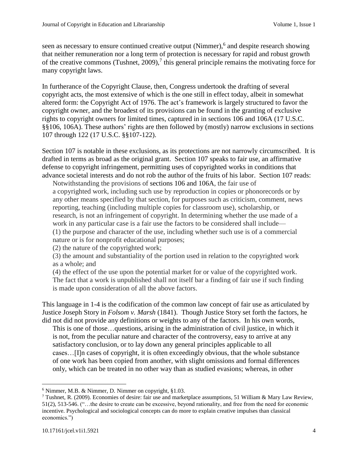seen as necessary to ensure continued creative output (Nimmer),<sup>6</sup> and despite research showing that neither remuneration nor a long term of protection is necessary for rapid and robust growth of the creative commons (Tushnet, 2009),<sup>7</sup> this general principle remains the motivating force for many copyright laws.

In furtherance of the Copyright Clause, then, Congress undertook the drafting of several copyright acts, the most extensive of which is the one still in effect today, albeit in somewhat altered form: the Copyright Act of 1976. The act's framework is largely structured to favor the copyright owner, and the broadest of its provisions can be found in the granting of exclusive rights to copyright owners for limited times, captured in in sections 106 and 106A (17 U.S.C. §§106, 106A). These authors' rights are then followed by (mostly) narrow exclusions in sections 107 through 122 (17 U.S.C. §§107-122).

Section 107 is notable in these exclusions, as its protections are not narrowly circumscribed. It is drafted in terms as broad as the original grant. Section 107 speaks to fair use, an affirmative defense to copyright infringement, permitting uses of copyrighted works in conditions that advance societal interests and do not rob the author of the fruits of his labor. Section 107 reads:

Notwithstanding the provisions of [sections 106](https://a.next.westlaw.com/Link/Document/FullText?findType=L&pubNum=1000546&cite=17USCAS106&originatingDoc=N646536A0A06711D8B8FABFF7D35FC9C0&refType=LQ&originationContext=document&transitionType=DocumentItem&contextData=(sc.Search)) and [106A,](https://a.next.westlaw.com/Link/Document/FullText?findType=L&pubNum=1000546&cite=17USCAS106A&originatingDoc=N646536A0A06711D8B8FABFF7D35FC9C0&refType=LQ&originationContext=document&transitionType=DocumentItem&contextData=(sc.Search)) the fair use of a copyrighted work, including such use by reproduction in copies or phonorecords or by any other means specified by that section, for purposes such as criticism, comment, news reporting, teaching (including multiple copies for classroom use), scholarship, or research, is not an infringement of copyright. In determining whether the use made of a work in any particular case is a fair use the factors to be considered shall include— (1) the purpose and character of the use, including whether such use is of a commercial nature or is for nonprofit educational purposes;

(2) the nature of the copyrighted work;

(3) the amount and substantiality of the portion used in relation to the copyrighted work as a whole; and

(4) the effect of the use upon the potential market for or value of the copyrighted work. The fact that a work is unpublished shall not itself bar a finding of fair use if such finding is made upon consideration of all the above factors.

This language in 1-4 is the codification of the common law concept of fair use as articulated by Justice Joseph Story in *Folsom v. Marsh* (1841). Though Justice Story set forth the factors, he did not did not provide any definitions or weights to any of the factors. In his own words,

This is one of those…questions, arising in the administration of civil justice, in which it is not, from the peculiar nature and character of the controversy, easy to arrive at any satisfactory conclusion, or to lay down any general principles applicable to all cases…[I]n cases of copyright, it is often exceedingly obvious, that the whole substance of one work has been copied from another, with slight omissions and formal differences only, which can be treated in no other way than as studied evasions; whereas, in other

 $\overline{a}$  $6$  Nimmer, M.B. & Nimmer, D. Nimmer on copyright,  $§1.03$ .

<sup>&</sup>lt;sup>7</sup> Tushnet, R. (2009). Economies of desire: fair use and marketplace assumptions, 51 William & Mary Law Review, 51(2), 513-546. ("…the desire to create can be excessive, beyond rationality, and free from the need for economic incentive. Psychological and sociological concepts can do more to explain creative impulses than classical economics.")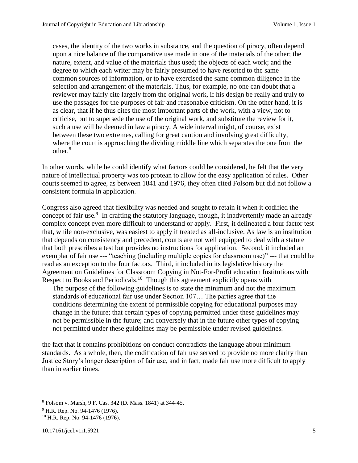cases, the identity of the two works in substance, and the question of piracy, often depend upon a nice balance of the comparative use made in one of the materials of the other; the nature, extent, and value of the materials thus used; the objects of each work; and the degree to which each writer may be fairly presumed to have resorted to the same common sources of information, or to have exercised the same common diligence in the selection and arrangement of the materials. Thus, for example, no one can doubt that a reviewer may fairly cite largely from the original work, if his design be really and truly to use the passages for the purposes of fair and reasonable criticism. On the other hand, it is as clear, that if he thus cites the most important parts of the work, with a view, not to criticise, but to supersede the use of the original work, and substitute the review for it, such a use will be deemed in law a piracy. A wide interval might, of course, exist between these two extremes, calling for great caution and involving great difficulty, where the court is approaching the dividing middle line which separates the one from the other.<sup>8</sup>

In other words, while he could identify what factors could be considered, he felt that the very nature of intellectual property was too protean to allow for the easy application of rules. Other courts seemed to agree, as between 1841 and 1976, they often cited Folsom but did not follow a consistent formula in application.

Congress also agreed that flexibility was needed and sought to retain it when it codified the concept of fair use.<sup>9</sup> In crafting the statutory language, though, it inadvertently made an already complex concept even more difficult to understand or apply. First, it delineated a four factor test that, while non-exclusive, was easiest to apply if treated as all-inclusive. As law is an institution that depends on consistency and precedent, courts are not well equipped to deal with a statute that both prescribes a test but provides no instructions for application. Second, it included an exemplar of fair use --- "teaching (including multiple copies for classroom use)" --- that could be read as an exception to the four factors. Third, it included in its legislative history the Agreement on Guidelines for Classroom Copying in Not-For-Profit education Institutions with Respect to Books and Periodicals.<sup>10</sup> Though this agreement explicitly opens with

The purpose of the following guidelines is to state the minimum and not the maximum standards of educational fair use under Section 107… The parties agree that the conditions determining the extent of permissible copying for educational purposes may change in the future; that certain types of copying permitted under these guidelines may not be permissible in the future; and conversely that in the future other types of copying not permitted under these guidelines may be permissible under revised guidelines.

the fact that it contains prohibitions on conduct contradicts the language about minimum standards. As a whole, then, the codification of fair use served to provide no more clarity than Justice Story's longer description of fair use, and in fact, made fair use more difficult to apply than in earlier times.

 $\overline{a}$ 

<sup>8</sup> Folsom v. Marsh, 9 F. Cas. 342 (D. Mass. 1841) at 344-45.

<sup>&</sup>lt;sup>9</sup> H.R. Rep. No. 94-1476 (1976).

<sup>&</sup>lt;sup>10</sup> H.R. Rep. No. 94-1476 (1976).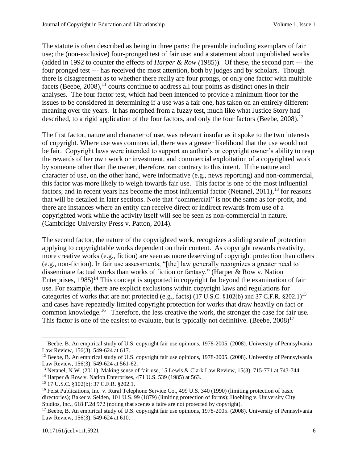The statute is often described as being in three parts: the preamble including exemplars of fair use; the (non-exclusive) four-pronged test of fair use; and a statement about unpublished works (added in 1992 to counter the effects of *Harper & Row (*1985)). Of these, the second part --- the four pronged test --- has received the most attention, both by judges and by scholars. Though there is disagreement as to whether there really are four prongs, or only one factor with multiple facets (Beebe, 2008),<sup>11</sup> courts continue to address all four points as distinct ones in their analyses. The four factor test, which had been intended to provide a minimum floor for the issues to be considered in determining if a use was a fair one, has taken on an entirely different meaning over the years. It has morphed from a fuzzy test, much like what Justice Story had described, to a rigid application of the four factors, and only the four factors (Beebe, 2008).<sup>12</sup>

The first factor, nature and character of use, was relevant insofar as it spoke to the two interests of copyright. Where use was commercial, there was a greater likelihood that the use would not be fair. Copyright laws were intended to support an author's or copyright owner's ability to reap the rewards of her own work or investment, and commercial exploitation of a copyrighted work by someone other than the owner, therefore, ran contrary to this intent. If the nature and character of use, on the other hand, were informative (e.g., news reporting) and non-commercial, this factor was more likely to weigh towards fair use. This factor is one of the most influential factors, and in recent years has become the most influential factor (Netanel, 2011),<sup>13</sup> for reasons that will be detailed in later sections. Note that "commercial" is not the same as for-profit, and there are instances where an entity can receive direct or indirect rewards from use of a copyrighted work while the activity itself will see be seen as non-commercial in nature. (Cambridge University Press v. Patton, 2014).

The second factor, the nature of the copyrighted work, recognizes a sliding scale of protection applying to copyrightable works dependent on their content. As copyright rewards creativity, more creative works (e.g., fiction) are seen as more deserving of copyright protection than others (e.g., non-fiction). In fair use assessments, "[the] law generally recognizes a greater need to disseminate factual works than works of fiction or fantasy." (Harper & Row v. Nation Enterprises,  $1985$ <sup> $14$ </sup> This concept is supported in copyright far beyond the examination of fair use. For example, there are explicit exclusions within copyright laws and regulations for categories of works that are not protected (e.g., facts) (17 U.S.C. §102(b) and 37 C.F.R. §202.1)<sup>15</sup> and cases have repeatedly limited copyright protection for works that draw heavily on fact or common knowledge.<sup>16</sup> Therefore, the less creative the work, the stronger the case for fair use. This factor is one of the easiest to evaluate, but is typically not definitive. (Beebe,  $2008$ )<sup>17</sup>

 $\overline{a}$ 

<sup>&</sup>lt;sup>11</sup> Beebe, B. An empirical study of U.S. copyright fair use opinions, 1978-2005. (2008). University of Pennsylvania Law Review, 156(3), 549-624 at 617.

<sup>&</sup>lt;sup>12</sup> Beebe, B. An empirical study of U.S. copyright fair use opinions, 1978-2005. (2008). University of Pennsylvania Law Review, 156(3), 549-624 at 561-62.

<sup>&</sup>lt;sup>13</sup> Netanel, N.W. (2011). Making sense of fair use, 15 Lewis & Clark Law Review, 15(3), 715-771 at 743-744.

<sup>14</sup> Harper & Row v. Nation Enterprises*,* 471 U.S. 539 (1985) at 563.

<sup>15</sup> 17 U.S.C. §102(b); 37 C.F.R. §202.1.

<sup>&</sup>lt;sup>16</sup> Feist Publications, Inc. v. Rural Telephone Service Co., 499 U.S. 340 (1990) (limiting protection of basic directories); Baker v. Selden, 101 U.S. 99 (1879) (limiting protection of forms); Hoehling v. University City Studios, Inc., 618 F.2d 972 (noting that scenes a faire are not protected by copyright).

<sup>&</sup>lt;sup>17</sup> Beebe, B. An empirical study of U.S. copyright fair use opinions, 1978-2005. (2008). University of Pennsylvania Law Review, 156(3), 549-624 at 610.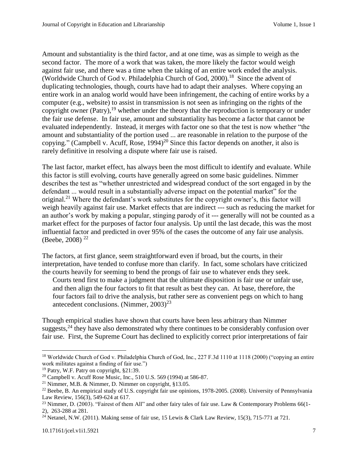Amount and substantiality is the third factor, and at one time, was as simple to weigh as the second factor. The more of a work that was taken, the more likely the factor would weigh against fair use, and there was a time when the taking of an entire work ended the analysis. (Worldwide Church of God v. Philadelphia Church of God, 2000).<sup>18</sup> Since the advent of duplicating technologies, though, courts have had to adapt their analyses. Where copying an entire work in an analog world would have been infringement, the caching of entire works by a computer (e.g., website) to assist in transmission is not seen as infringing on the rights of the copyright owner (Patry),<sup>19</sup> whether under the theory that the reproduction is temporary or under the fair use defense. In fair use, amount and substantiality has become a factor that cannot be evaluated independently. Instead, it merges with factor one so that the test is now whether "the amount and substantiality of the portion used ... are reasonable in relation to the purpose of the copying." (Campbell v. Acuff, Rose,  $1994$ )<sup>20</sup> Since this factor depends on another, it also is rarely definitive in resolving a dispute where fair use is raised.

The last factor, market effect, has always been the most difficult to identify and evaluate. While this factor is still evolving, courts have generally agreed on some basic guidelines. Nimmer describes the test as "whether unrestricted and widespread conduct of the sort engaged in by the defendant ... would result in a substantially adverse impact on the potential market" for the original.<sup>21</sup> Where the defendant's work substitutes for the copyright owner's, this factor will weigh heavily against fair use. Market effects that are indirect --- such as reducing the market for an author's work by making a popular, stinging parody of it --- generally will not be counted as a market effect for the purposes of factor four analysis. Up until the last decade, this was the most influential factor and predicted in over 95% of the cases the outcome of any fair use analysis. (Beebe, 2008)<sup>22</sup>

The factors, at first glance, seem straightforward even if broad, but the courts, in their interpretation, have tended to confuse more than clarify. In fact, some scholars have criticized the courts heavily for seeming to bend the prongs of fair use to whatever ends they seek.

Courts tend first to make a judgment that the ultimate disposition is fair use or unfair use, and then align the four factors to fit that result as best they can. At base, therefore, the four factors fail to drive the analysis, but rather sere as convenient pegs on which to hang antecedent conclusions. (Nimmer,  $2003)^{23}$ 

Though empirical studies have shown that courts have been less arbitrary than Nimmer suggests,  $24$  they have also demonstrated why there continues to be considerably confusion over fair use. First, the Supreme Court has declined to explicitly correct prior interpretations of fair

<sup>&</sup>lt;sup>18</sup> Worldwide Church of God v. Philadelphia Church of God, Inc., 227 F.3d 1110 at 1118 (2000) ("copying an entire work militates against a finding of fair use.")

<sup>19</sup> Patry, W.F. Patry on copyright, §21:39.

<sup>&</sup>lt;sup>20</sup> Campbell v. Acuff Rose Music, Inc., 510 U.S. 569 (1994) at 586-87.

<sup>21</sup> Nimmer, M.B. & Nimmer, D. Nimmer on copyright, §13.05.

<sup>&</sup>lt;sup>22</sup> Beebe, B. An empirical study of U.S. copyright fair use opinions, 1978-2005. (2008). University of Pennsylvania Law Review, 156(3), 549-624 at 617.

<sup>&</sup>lt;sup>23</sup> Nimmer, D. (2003). "Fairest of them All" and other fairy tales of fair use. Law & Contemporary Problems 66(1-2), 263-288 at 281.

<sup>&</sup>lt;sup>24</sup> Netanel, N.W. (2011). Making sense of fair use, 15 Lewis & Clark Law Review, 15(3), 715-771 at 721.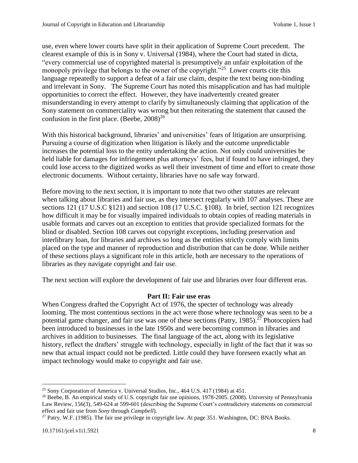use, even where lower courts have split in their application of Supreme Court precedent. The clearest example of this is in Sony v. Universal (1984), where the Court had stated in dicta, "every commercial use of copyrighted material is presumptively an unfair exploitation of the monopoly privilege that belongs to the owner of the copyright."<sup>25</sup> Lower courts cite this language repeatedly to support a defeat of a fair use claim, despite the text being non-binding and irrelevant in Sony. The Supreme Court has noted this misapplication and has had multiple opportunities to correct the effect. However, they have inadvertently created greater misunderstanding in every attempt to clarify by simultaneously claiming that application of the Sony statement on commerciality was wrong but then reiterating the statement that caused the confusion in the first place. (Beebe,  $2008$ )<sup>26</sup>

With this historical background, libraries' and universities' fears of litigation are unsurprising. Pursuing a course of digitization when litigation is likely and the outcome unpredictable increases the potential loss to the entity undertaking the action. Not only could universities be held liable for damages for infringement plus attorneys' fees, but if found to have infringed, they could lose access to the digitized works as well their investment of time and effort to create those electronic documents. Without certainty, libraries have no safe way forward.

Before moving to the next section, it is important to note that two other statutes are relevant when talking about libraries and fair use, as they intersect regularly with 107 analyses. These are sections 121 (17 U.S.C §121) and section 108 (17 U.S.C. §108). In brief, section 121 recognizes how difficult it may be for visually impaired individuals to obtain copies of reading materials in usable formats and carves out an exception to entities that provide specialized formats for the blind or disabled. Section 108 carves out copyright exceptions, including preservation and interlibrary loan, for libraries and archives so long as the entities strictly comply with limits placed on the type and manner of reproduction and distribution that can be done. While neither of these sections plays a significant role in this article, both are necessary to the operations of libraries as they navigate copyright and fair use.

The next section will explore the development of fair use and libraries over four different eras.

# **Part II: Fair use eras**

When Congress drafted the Copyright Act of 1976, the specter of technology was already looming. The most contentious sections in the act were those where technology was seen to be a potential game changer, and fair use was one of these sections (Patry,  $1985$ ).<sup>27</sup> Photocopiers had been introduced to businesses in the late 1950s and were becoming common in libraries and archives in addition to businesses. The final language of the act, along with its legislative history, reflect the drafters' struggle with technology, especially in light of the fact that it was so new that actual impact could not be predicted. Little could they have foreseen exactly what an impact technology would make to copyright and fair use.

 $\overline{a}$ <sup>25</sup> Sony Corporation of America v. Universal Studios, Inc., 464 U.S. 417 (1984) at 451.

<sup>&</sup>lt;sup>26</sup> Beebe, B. An empirical study of U.S. copyright fair use opinions, 1978-2005. (2008). University of Pennsylvania Law Review, 156(3), 549-624 at 599-601 (describing the Supreme Court's contradictory statements on commercial effect and fair use from *Sony* through *Campbell*).

<sup>&</sup>lt;sup>27</sup> Patry, W.F. (1985). The fair use privilege in copyright law. At page 351. Washington, DC: BNA Books.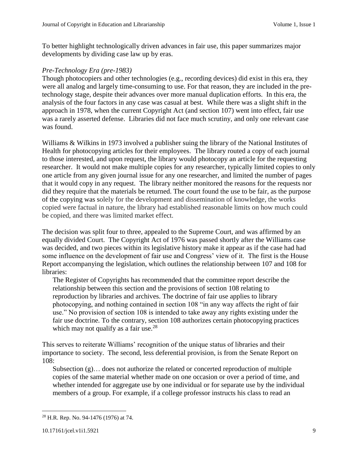To better highlight technologically driven advances in fair use, this paper summarizes major developments by dividing case law up by eras.

### *Pre-Technology Era (pre-1983)*

Though photocopiers and other technologies (e.g., recording devices) did exist in this era, they were all analog and largely time-consuming to use. For that reason, they are included in the pretechnology stage, despite their advances over more manual duplication efforts. In this era, the analysis of the four factors in any case was casual at best. While there was a slight shift in the approach in 1978, when the current Copyright Act (and section 107) went into effect, fair use was a rarely asserted defense. Libraries did not face much scrutiny, and only one relevant case was found.

Williams & Wilkins in 1973 involved a publisher suing the library of the National Institutes of Health for photocopying articles for their employees. The library routed a copy of each journal to those interested, and upon request, the library would photocopy an article for the requesting researcher. It would not make multiple copies for any researcher, typically limited copies to only one article from any given journal issue for any one researcher, and limited the number of pages that it would copy in any request. The library neither monitored the reasons for the requests nor did they require that the materials be returned. The court found the use to be fair, as the purpose of the copying was solely for the development and dissemination of knowledge, the works copied were factual in nature, the library had established reasonable limits on how much could be copied, and there was limited market effect.

The decision was split four to three, appealed to the Supreme Court, and was affirmed by an equally divided Court. The Copyright Act of 1976 was passed shortly after the Williams case was decided, and two pieces within its legislative history make it appear as if the case had had some influence on the development of fair use and Congress' view of it. The first is the House Report accompanying the legislation, which outlines the relationship between 107 and 108 for libraries:

The Register of Copyrights has recommended that the committee report describe the relationship between this section and the provisions of section 108 relating to reproduction by libraries and archives. The doctrine of fair use applies to library photocopying, and nothing contained in section 108 "in any way affects the right of fair use." No provision of section 108 is intended to take away any rights existing under the fair use doctrine. To the contrary, section 108 authorizes certain photocopying practices which may not qualify as a fair use.<sup>28</sup>

This serves to reiterate Williams' recognition of the unique status of libraries and their importance to society. The second, less deferential provision, is from the Senate Report on 108:

Subsection (g)… does not authorize the related or concerted reproduction of multiple copies of the same material whether made on one occasion or over a period of time, and whether intended for aggregate use by one individual or for separate use by the individual members of a group. For example, if a college professor instructs his class to read an

 $\overline{\phantom{a}}$ <sup>28</sup> H.R. Rep. No. 94-1476 (1976) at 74.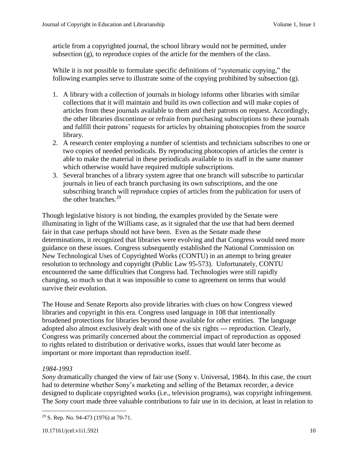article from a copyrighted journal, the school library would not be permitted, under subsection  $(g)$ , to reproduce copies of the article for the members of the class.

While it is not possible to formulate specific definitions of "systematic copying," the following examples serve to illustrate some of the copying prohibited by subsection (g).

- 1. A library with a collection of journals in biology informs other libraries with similar collections that it will maintain and build its own collection and will make copies of articles from these journals available to them and their patrons on request. Accordingly, the other libraries discontinue or refrain from purchasing subscriptions to these journals and fulfill their patrons' requests for articles by obtaining photocopies from the source library.
- 2. A research center employing a number of scientists and technicians subscribes to one or two copies of needed periodicals. By reproducing photocopies of articles the center is able to make the material in these periodicals available to its staff in the same manner which otherwise would have required multiple subscriptions.
- 3. Several branches of a library system agree that one branch will subscribe to particular journals in lieu of each branch purchasing its own subscriptions, and the one subscribing branch will reproduce copies of articles from the publication for users of the other branches.<sup>29</sup>

Though legislative history is not binding, the examples provided by the Senate were illuminating in light of the Williams case, as it signaled that the use that had been deemed fair in that case perhaps should not have been. Even as the Senate made these determinations, it recognized that libraries were evolving and that Congress would need more guidance on these issues. Congress subsequently established the National Commission on New Technological Uses of Copyrighted Works (CONTU) in an attempt to bring greater resolution to technology and copyright (Public Law 95-573). Unfortunately, CONTU encountered the same difficulties that Congress had. Technologies were still rapidly changing, so much so that it was impossible to come to agreement on terms that would survive their evolution.

The House and Senate Reports also provide libraries with clues on how Congress viewed libraries and copyright in this era. Congress used language in 108 that intentionally broadened protections for libraries beyond those available for other entities. The language adopted also almost exclusively dealt with one of the six rights --- reproduction. Clearly, Congress was primarily concerned about the commercial impact of reproduction as opposed to rights related to distribution or derivative works, issues that would later become as important or more important than reproduction itself.

# *1984-1993*

*Sony* dramatically changed the view of fair use (Sony v. Universal, 1984). In this case, the court had to determine whether Sony's marketing and selling of the Betamax recorder, a device designed to duplicate copyrighted works (i.e., television programs), was copyright infringement. The *Sony* court made three valuable contributions to fair use in its decision, at least in relation to

 $\overline{\phantom{a}}$ <sup>29</sup> S. Rep. No. 94-473 (1976) at 70-71.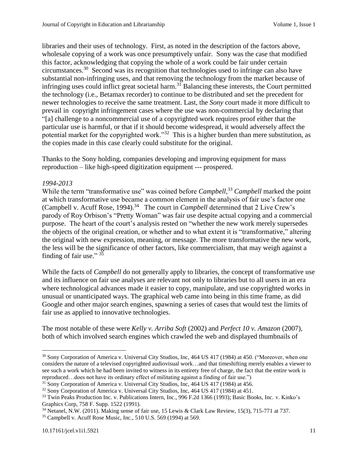libraries and their uses of technology. First, as noted in the description of the factors above, wholesale copying of a work was once presumptively unfair. Sony was the case that modified this factor, acknowledging that copying the whole of a work could be fair under certain circumstances.<sup>30</sup> Second was its recognition that technologies used to infringe can also have substantial non-infringing uses, and that removing the technology from the market because of infringing uses could inflict great societal harm. <sup>31</sup> Balancing these interests, the Court permitted the technology (i.e., Betamax recorder) to continue to be distributed and set the precedent for newer technologies to receive the same treatment. Last, the *Sony* court made it more difficult to prevail in copyright infringement cases where the use was non-commercial by declaring that "[a] challenge to a noncommercial use of a copyrighted work requires proof either that the particular use is harmful, or that if it should become widespread, it would adversely affect the potential market for the copyrighted work."<sup>32</sup> This is a higher burden than mere substitution, as the copies made in this case clearly could substitute for the original.

Thanks to the Sony holding, companies developing and improving equipment for mass reproduction – like high-speed digitization equipment --- prospered.

# *1994-2013*

While the term "transformative use" was coined before *Campbell*, <sup>33</sup> *Campbell* marked the point at which transformative use became a common element in the analysis of fair use's factor one (Campbell v. Acuff Rose, 1994). 34 The court in *Campbell* determined that 2 Live Crew's parody of Roy Orbison's "Pretty Woman" was fair use despite actual copying and a commercial purpose. The heart of the court's analysis rested on "whether the new work merely supersedes the objects of the original creation, or whether and to what extent it is "transformative," altering the original with new expression, meaning, or message. The more transformative the new work, the less will be the significance of other factors, like commercialism, that may weigh against a finding of fair use." 35

While the facts of *Campbell* do not generally apply to libraries, the concept of transformative use and its influence on fair use analyses are relevant not only to libraries but to all users in an era where technological advances made it easier to copy, manipulate, and use copyrighted works in unusual or unanticipated ways. The graphical web came into being in this time frame, as did Google and other major search engines, spawning a series of cases that would test the limits of fair use as applied to innovative technologies.

The most notable of these were *Kelly v. Arriba Soft* (2002) and *Perfect 10 v. Amazon* (2007), both of which involved search engines which crawled the web and displayed thumbnails of

<sup>&</sup>lt;sup>30</sup> Sony Corporation of America v. Universal City Studios, Inc, 464 US 417 (1984) at 450. ("Moreover, when one considers the nature of a televised copyrighted audiovisual work…and that timeshifting merely enables a viewer to see such a work which he had been invited to witness in its entirety free of charge, the fact that the entire work is reproduced…does not have its ordinary effect of militating against a finding of fair use.")

<sup>&</sup>lt;sup>31</sup> Sony Corporation of America v. Universal City Studios, Inc, 464 US 417 (1984) at 456.

<sup>32</sup> Sony Corporation of America v. Universal City Studios, Inc, 464 US 417 (1984) at 451.

<sup>33</sup> Twin Peaks Production Inc. v. Publications Intern, Inc., 996 F.2d 1366 (1993); Basic Books, Inc. v. Kinko's Graphics Corp, 758 F. Supp. 1522 (1991).

<sup>34</sup> Netanel, N.W. (2011). Making sense of fair use, 15 Lewis & Clark Law Review, 15(3), 715-771 at 737.

<sup>35</sup> Campbell v. Acuff Rose Music, Inc., 510 U.S. 569 (1994) at 569.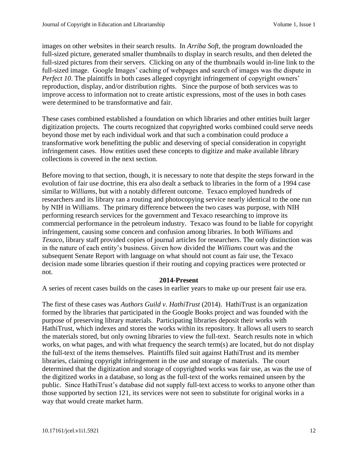images on other websites in their search results. In *Arriba Soft*, the program downloaded the full-sized picture, generated smaller thumbnails to display in search results, and then deleted the full-sized pictures from their servers. Clicking on any of the thumbnails would in-line link to the full-sized image. Google Images' caching of webpages and search of images was the dispute in *Perfect 10.* The plaintiffs in both cases alleged copyright infringement of copyright owners' reproduction, display, and/or distribution rights. Since the purpose of both services was to improve access to information not to create artistic expressions, most of the uses in both cases were determined to be transformative and fair.

These cases combined established a foundation on which libraries and other entities built larger digitization projects. The courts recognized that copyrighted works combined could serve needs beyond those met by each individual work and that such a combination could produce a transformative work benefitting the public and deserving of special consideration in copyright infringement cases. How entities used these concepts to digitize and make available library collections is covered in the next section.

Before moving to that section, though, it is necessary to note that despite the steps forward in the evolution of fair use doctrine, this era also dealt a setback to libraries in the form of a 1994 case similar to *Williams*, but with a notably different outcome. Texaco employed hundreds of researchers and its library ran a routing and photocopying service nearly identical to the one run by NIH in Williams. The primary difference between the two cases was purpose, with NIH performing research services for the government and Texaco researching to improve its commercial performance in the petroleum industry. Texaco was found to be liable for copyright infringement, causing some concern and confusion among libraries. In both *Williams* and *Texaco*, library staff provided copies of journal articles for researchers. The only distinction was in the nature of each entity's business. Given how divided the *Williams* court was and the subsequent Senate Report with language on what should not count as fair use, the Texaco decision made some libraries question if their routing and copying practices were protected or not.

#### **2014-Present**

A series of recent cases builds on the cases in earlier years to make up our present fair use era.

The first of these cases was *Authors Guild v. HathiTrust* (2014). HathiTrust is an organization formed by the libraries that participated in the Google Books project and was founded with the purpose of preserving library materials. Participating libraries deposit their works with HathiTrust, which indexes and stores the works within its repository. It allows all users to search the materials stored, but only owning libraries to view the full-text. Search results note in which works, on what pages, and with what frequency the search term(s) are located, but do not display the full-text of the items themselves. Plaintiffs filed suit against HathiTrust and its member libraries, claiming copyright infringement in the use and storage of materials. The court determined that the digitization and storage of copyrighted works was fair use, as was the use of the digitized works in a database, so long as the full-text of the works remained unseen by the public. Since HathiTrust's database did not supply full-text access to works to anyone other than those supported by section 121, its services were not seen to substitute for original works in a way that would create market harm.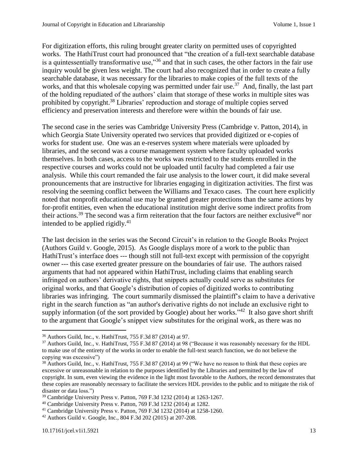For digitization efforts, this ruling brought greater clarity on permitted uses of copyrighted works. The HathiTrust court had pronounced that "the creation of a full-text searchable database is a quintessentially transformative use,"<sup>36</sup> and that in such cases, the other factors in the fair use inquiry would be given less weight. The court had also recognized that in order to create a fully searchable database, it was necessary for the libraries to make copies of the full texts of the works, and that this wholesale copying was permitted under fair use.<sup>37</sup> And, finally, the last part of the holding repudiated of the authors' claim that storage of these works in multiple sites was prohibited by copyright.<sup>38</sup> Libraries' reproduction and storage of multiple copies served efficiency and preservation interests and therefore were within the bounds of fair use.

The second case in the series was Cambridge University Press (Cambridge v. Patton, 2014), in which Georgia State University operated two services that provided digitized or e-copies of works for student use. One was an e-reserves system where materials were uploaded by libraries, and the second was a course management system where faculty uploaded works themselves. In both cases, access to the works was restricted to the students enrolled in the respective courses and works could not be uploaded until faculty had completed a fair use analysis. While this court remanded the fair use analysis to the lower court, it did make several pronouncements that are instructive for libraries engaging in digitization activities. The first was resolving the seeming conflict between the Williams and Texaco cases. The court here explicitly noted that nonprofit educational use may be granted greater protections than the same actions by for-profit entities, even when the educational institution might derive some indirect profits from their actions.<sup>39</sup> The second was a firm reiteration that the four factors are neither exclusive<sup>40</sup> nor intended to be applied rigidly. $41$ 

The last decision in the series was the Second Circuit's in relation to the Google Books Project (Authors Guild v. Google, 2015). As Google displays more of a work to the public than HathiTrust's interface does --- though still not full-text except with permission of the copyright owner --- this case exerted greater pressure on the boundaries of fair use. The authors raised arguments that had not appeared within HathiTrust, including claims that enabling search infringed on authors' derivative rights, that snippets actually could serve as substitutes for original works, and that Google's distribution of copies of digitized works to contributing libraries was infringing. The court summarily dismissed the plaintiff's claim to have a derivative right in the search function as "an author's derivative rights do not include an exclusive right to supply information (of the sort provided by Google) about her works." $42$  It also gave short shrift to the argument that Google's snippet view substitutes for the original work, as there was no

 $\overline{\phantom{a}}$ <sup>36</sup> Authors Guild, Inc., v. HathiTrust, 755 F.3d 87 (2014) at 97.

<sup>&</sup>lt;sup>37</sup> Authors Guild, Inc., v. HathiTrust, 755 F.3d 87 (2014) at 98 ("Because it was reasonably necessary for the HDL to make use of the entirety of the works in order to enable the full-text search function, we do not believe the copying was excessive")

<sup>&</sup>lt;sup>38</sup> Authors Guild, Inc., v. HathiTrust, 755 F.3d 87 (2014) at 99 ("We have no reason to think that these copies are excessive or unreasonable in relation to the purposes identified by the Libraries and permitted by the law of copyright. In sum, even viewing the evidence in the light most favorable to the Authors, the record demonstrates that these copies are reasonably necessary to facilitate the services HDL provides to the public and to mitigate the risk of disaster or data loss.")

<sup>39</sup> Cambridge University Press v. Patton, 769 F.3d 1232 (2014) at 1263-1267.

<sup>40</sup> Cambridge University Press v. Patton, 769 F.3d 1232 (2014) at 1282.

<sup>41</sup> Cambridge University Press v. Patton, 769 F.3d 1232 (2014) at 1258-1260.

<sup>42</sup> Authors Guild v. Google, Inc., 804 F.3d 202 (2015) at 207-208.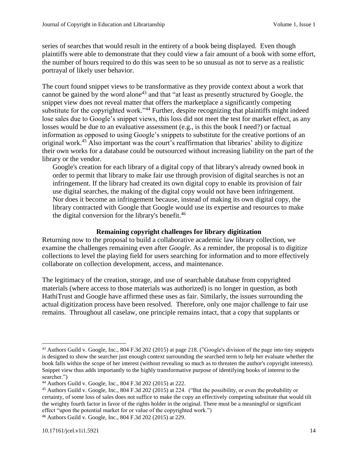series of searches that would result in the entirety of a book being displayed. Even though plaintiffs were able to demonstrate that they could view a fair amount of a book with some effort, the number of hours required to do this was seen to be so unusual as not to serve as a realistic portrayal of likely user behavior.

The court found snippet views to be transformative as they provide context about a work that cannot be gained by the word alone<sup>43</sup> and that "at least as presently structured by Google, the snippet view does not reveal matter that offers the marketplace a significantly competing substitute for the copyrighted work."<sup>44</sup> Further, despite recognizing that plaintiffs might indeed lose sales due to Google's snippet views, this loss did not meet the test for market effect, as any losses would be due to an evaluative assessment (e.g., is this the book I need?) or factual information as opposed to using Google's snippets to substitute for the creative portions of an original work. <sup>45</sup> Also important was the court's reaffirmation that libraries' ability to digitize their own works for a database could be outsourced without increasing liability on the part of the library or the vendor.

Google's creation for each library of a digital copy of that library's already owned book in order to permit that library to make fair use through provision of digital searches is not an infringement. If the library had created its own digital copy to enable its provision of fair use digital searches, the making of the digital copy would not have been infringement. Nor does it become an infringement because, instead of making its own digital copy, the library contracted with Google that Google would use its expertise and resources to make the digital conversion for the library's benefit.<sup>46</sup>

#### **Remaining copyright challenges for library digitization**

Returning now to the proposal to build a collaborative academic law library collection, we examine the challenges remaining even after *Google*. As a reminder, the proposal is to digitize collections to level the playing field for users searching for information and to more effectively collaborate on collection development, access, and maintenance.

The legitimacy of the creation, storage, and use of searchable database from copyrighted materials (where access to those materials was authorized) is no longer in question, as both HathiTrust and Google have affirmed these uses as fair. Similarly, the issues surrounding the actual digitization process have been resolved. Therefore, only one major challenge to fair use remains. Throughout all caselaw, one principle remains intact, that a copy that supplants or

 $\overline{a}$ 

<sup>43</sup> Authors Guild v. Google, Inc., 804 F.3d 202 (2015) at page 218. ("Google's division of the page into tiny snippets is designed to show the searcher just enough context surrounding the searched term to help her evaluate whether the book falls within the scope of her interest (without revealing so much as to threaten the author's copyright interests). Snippet view thus adds importantly to the highly transformative purpose of identifying books of interest to the searcher.")

<sup>44</sup> Authors Guild v. Google, Inc., 804 F.3d 202 (2015) at 222.

<sup>45</sup> Authors Guild v. Google, Inc., 804 F.3d 202 (2015) at 224. ("But the possibility, or even the probability or certainty, of some loss of sales does not suffice to make the copy an effectively competing substitute that would tilt the weighty fourth factor in favor of the rights holder in the original. There must be a meaningful or significant effect "upon the potential market for or value of the copyrighted work.")

<sup>46</sup> Authors Guild v. Google, Inc., 804 F.3d 202 (2015) at 229.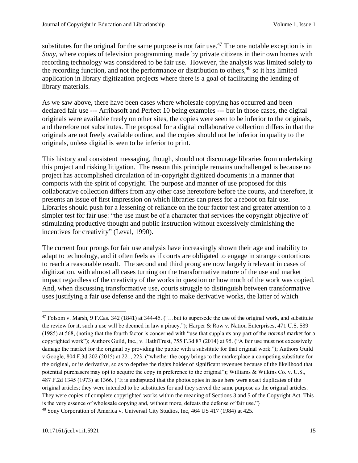substitutes for the original for the same purpose is not fair use.<sup> $47$ </sup> The one notable exception is in *Sony,* where copies of television programming made by private citizens in their own homes with recording technology was considered to be fair use. However, the analysis was limited solely to the recording function, and not the performance or distribution to others,  $48$  so it has limited application in library digitization projects where there is a goal of facilitating the lending of library materials.

As we saw above, there have been cases where wholesale copying has occurred and been declared fair use --- Arribasoft and Perfect 10 being examples --- but in those cases, the digital originals were available freely on other sites, the copies were seen to be inferior to the originals, and therefore not substitutes. The proposal for a digital collaborative collection differs in that the originals are not freely available online, and the copies should not be inferior in quality to the originals, unless digital is seen to be inferior to print.

This history and consistent messaging, though, should not discourage libraries from undertaking this project and risking litigation. The reason this principle remains unchallenged is because no project has accomplished circulation of in-copyright digitized documents in a manner that comports with the spirit of copyright. The purpose and manner of use proposed for this collaborative collection differs from any other case heretofore before the courts, and therefore, it presents an issue of first impression on which libraries can press for a reboot on fair use. Libraries should push for a lessening of reliance on the four factor test and greater attention to a simpler test for fair use: "the use must be of a character that services the copyright objective of stimulating productive thought and public instruction without excessively diminishing the incentives for creativity" (Leval, 1990).

The current four prongs for fair use analysis have increasingly shown their age and inability to adapt to technology, and it often feels as if courts are obligated to engage in strange contortions to reach a reasonable result. The second and third prong are now largely irrelevant in cases of digitization, with almost all cases turning on the transformative nature of the use and market impact regardless of the creativity of the works in question or how much of the work was copied. And, when discussing transformative use, courts struggle to distinguish between transformative uses justifying a fair use defense and the right to make derivative works, the latter of which

 $\overline{a}$ 

<sup>&</sup>lt;sup>47</sup> Folsom v. Marsh, 9 F.Cas. 342 (1841) at 344-45. ("...but to supersede the use of the original work, and substitute the review for it, such a use will be deemed in law a piracy."); Harper & Row v. Nation Enterprises*,* 471 U.S. 539 (1985) at 568, (noting that the fourth factor is concerned with "use that supplants any part of the *normal* market for a copyrighted work"); Authors Guild, Inc., v. HathiTrust, 755 F.3d 87 (2014) at 95. ("A fair use must not excessively damage the market for the original by providing the public with a substitute for that original work."); Authors Guild v Google, 804 F.3d 202 (2015) at 221, 223. ("whether the copy brings to the marketplace a competing substitute for the original, or its derivative, so as to deprive the rights holder of significant revenues because of the likelihood that potential purchasers may opt to acquire the copy in preference to the original"); Williams & Wilkins Co. v. U.S., 487 F.2d 1345 (1973) at 1366. ("It is undisputed that the photocopies in issue here were exact duplicates of the original articles; they were intended to be substitutes for and they served the same purpose as the original articles. They were copies of complete copyrighted works within the meaning of Sections 3 and 5 of the Copyright Act. This is the very essence of wholesale copying and, without more, defeats the defense of fair use.") <sup>48</sup> Sony Corporation of America v. Universal City Studios, Inc, 464 US 417 (1984) at 425.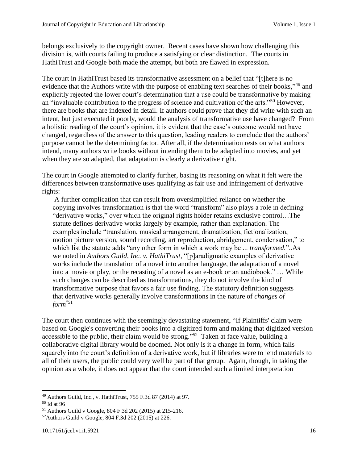belongs exclusively to the copyright owner. Recent cases have shown how challenging this division is, with courts failing to produce a satisfying or clear distinction. The courts in HathiTrust and Google both made the attempt, but both are flawed in expression.

The court in HathiTrust based its transformative assessment on a belief that "[t]here is no evidence that the Authors write with the purpose of enabling text searches of their books,"<sup>49</sup> and explicitly rejected the lower court's determination that a use could be transformative by making an "invaluable contribution to the progress of science and cultivation of the arts."<sup>50</sup> However, there are books that are indexed in detail. If authors could prove that they did write with such an intent, but just executed it poorly, would the analysis of transformative use have changed? From a holistic reading of the court's opinion, it is evident that the case's outcome would not have changed, regardless of the answer to this question, leading readers to conclude that the authors' purpose cannot be the determining factor. After all, if the determination rests on what authors intend, many authors write books without intending them to be adapted into movies, and yet when they are so adapted, that adaptation is clearly a derivative right.

The court in Google attempted to clarify further, basing its reasoning on what it felt were the differences between transformative uses qualifying as fair use and infringement of derivative rights:

A further complication that can result from oversimplified reliance on whether the copying involves transformation is that the word "transform" also plays a role in defining "derivative works," over which the original rights holder retains exclusive control…The statute defines derivative works largely by example, rather than explanation. The examples include "translation, musical arrangement, dramatization, fictionalization, motion picture version, sound recording, art reproduction, abridgement, condensation," to which list the statute adds "any other form in which a work may be ... *transformed.*"..As we noted in *Authors Guild, Inc. v. HathiTrust,* "[p]aradigmatic examples of derivative works include the translation of a novel into another language, the adaptation of a novel into a movie or play, or the recasting of a novel as an e-book or an audiobook." … While such changes can be described as transformations, they do not involve the kind of transformative purpose that favors a fair use finding. The statutory definition suggests that derivative works generally involve transformations in the nature of *changes of form*"51

The court then continues with the seemingly devastating statement, "If Plaintiffs' claim were based on Google's converting their books into a digitized form and making that digitized version accessible to the public, their claim would be strong."<sup>52</sup> Taken at face value, building a collaborative digital library would be doomed. Not only is it a change in form, which falls squarely into the court's definition of a derivative work, but if libraries were to lend materials to all of their users, the public could very well be part of that group. Again, though, in taking the opinion as a whole, it does not appear that the court intended such a limited interpretation

<sup>49</sup> Authors Guild, Inc., v. HathiTrust, 755 F.3d 87 (2014) at 97.

<sup>50</sup> Id at 96

<sup>51</sup> Authors Guild v Google, 804 F.3d 202 (2015) at 215-216.

<sup>52</sup>Authors Guild v Google, 804 F.3d 202 (2015) at 226.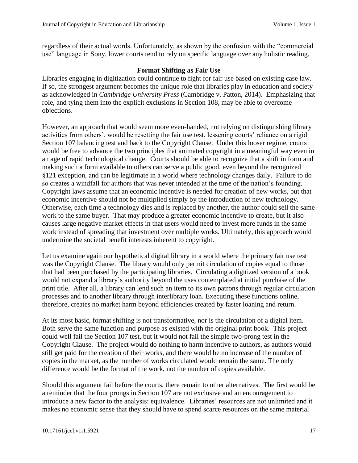regardless of their actual words. Unfortunately, as shown by the confusion with the "commercial use" language in Sony, lower courts tend to rely on specific language over any holistic reading.

# **Format Shifting as Fair Use**

Libraries engaging in digitization could continue to fight for fair use based on existing case law. If so, the strongest argument becomes the unique role that libraries play in education and society as acknowledged in *Cambridge University Press* (Cambridge v. Patton, 2014). Emphasizing that role, and tying them into the explicit exclusions in Section 108, may be able to overcome objections.

However, an approach that would seem more even-handed, not relying on distinguishing library activities from others', would be resetting the fair use test, lessening courts' reliance on a rigid Section 107 balancing test and back to the Copyright Clause. Under this looser regime, courts would be free to advance the two principles that animated copyright in a meaningful way even in an age of rapid technological change. Courts should be able to recognize that a shift in form and making such a form available to others can serve a public good, even beyond the recognized §121 exception, and can be legitimate in a world where technology changes daily. Failure to do so creates a windfall for authors that was never intended at the time of the nation's founding. Copyright laws assume that an economic incentive is needed for creation of new works, but that economic incentive should not be multiplied simply by the introduction of new technology. Otherwise, each time a technology dies and is replaced by another, the author could sell the same work to the same buyer. That may produce a greater economic incentive to create, but it also causes large negative market effects in that users would need to invest more funds in the same work instead of spreading that investment over multiple works. Ultimately, this approach would undermine the societal benefit interests inherent to copyright.

Let us examine again our hypothetical digital library in a world where the primary fair use test was the Copyright Clause. The library would only permit circulation of copies equal to those that had been purchased by the participating libraries. Circulating a digitized version of a book would not expand a library's authority beyond the uses contemplated at initial purchase of the print title. After all, a library can lend such an item to its own patrons through regular circulation processes and to another library through interlibrary loan. Executing these functions online, therefore, creates no market harm beyond efficiencies created by faster loaning and return.

At its most basic, format shifting is not transformative, nor is the circulation of a digital item. Both serve the same function and purpose as existed with the original print book. This project could well fail the Section 107 test, but it would not fail the simple two-prong test in the Copyright Clause. The project would do nothing to harm incentive to authors, as authors would still get paid for the creation of their works, and there would be no increase of the number of copies in the market, as the number of works circulated would remain the same. The only difference would be the format of the work, not the number of copies available.

Should this argument fail before the courts, there remain to other alternatives. The first would be a reminder that the four prongs in Section 107 are not exclusive and an encouragement to introduce a new factor to the analysis: equivalence. Libraries' resources are not unlimited and it makes no economic sense that they should have to spend scarce resources on the same material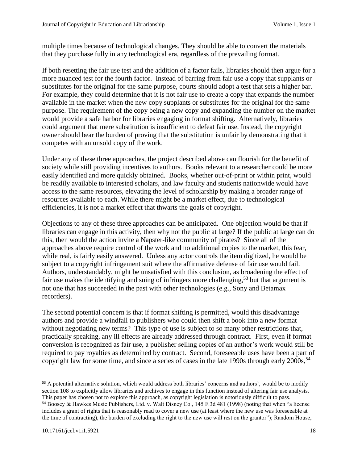multiple times because of technological changes. They should be able to convert the materials that they purchase fully in any technological era, regardless of the prevailing format.

If both resetting the fair use test and the addition of a factor fails, libraries should then argue for a more nuanced test for the fourth factor. Instead of barring from fair use a copy that supplants or substitutes for the original for the same purpose, courts should adopt a test that sets a higher bar. For example, they could determine that it is not fair use to create a copy that expands the number available in the market when the new copy supplants or substitutes for the original for the same purpose. The requirement of the copy being a new copy and expanding the number on the market would provide a safe harbor for libraries engaging in format shifting. Alternatively, libraries could argument that mere substitution is insufficient to defeat fair use. Instead, the copyright owner should bear the burden of proving that the substitution is unfair by demonstrating that it competes with an unsold copy of the work.

Under any of these three approaches, the project described above can flourish for the benefit of society while still providing incentives to authors. Books relevant to a researcher could be more easily identified and more quickly obtained. Books, whether out-of-print or within print, would be readily available to interested scholars, and law faculty and students nationwide would have access to the same resources, elevating the level of scholarship by making a broader range of resources available to each. While there might be a market effect, due to technological efficiencies, it is not a market effect that thwarts the goals of copyright.

Objections to any of these three approaches can be anticipated. One objection would be that if libraries can engage in this activity, then why not the public at large? If the public at large can do this, then would the action invite a Napster-like community of pirates? Since all of the approaches above require control of the work and no additional copies to the market, this fear, while real, is fairly easily answered. Unless any actor controls the item digitized, he would be subject to a copyright infringement suit where the affirmative defense of fair use would fail. Authors, understandably, might be unsatisfied with this conclusion, as broadening the effect of fair use makes the identifying and suing of infringers more challenging,<sup>53</sup> but that argument is not one that has succeeded in the past with other technologies (e.g., Sony and Betamax recorders).

The second potential concern is that if format shifting is permitted, would this disadvantage authors and provide a windfall to publishers who could then shift a book into a new format without negotiating new terms? This type of use is subject to so many other restrictions that, practically speaking, any ill effects are already addressed through contract. First, even if format conversion is recognized as fair use, a publisher selling copies of an author's work would still be required to pay royalties as determined by contract. Second, foreseeable uses have been a part of copyright law for some time, and since a series of cases in the late 1990s through early 2000s, 54

l <sup>53</sup> A potential alternative solution, which would address both libraries' concerns and authors', would be to modify section 108 to explicitly allow libraries and archives to engage in this function instead of altering fair use analysis. This paper has chosen not to explore this approach, as copyright legislation is notoriously difficult to pass.

<sup>54</sup> Boosey & Hawkes Music Publishers, Ltd. v. Walt Disney Co., 145 F.3d 481 (1998) (noting that when "a license includes a grant of rights that is reasonably read to cover a new use (at least where the new use was foreseeable at the time of contracting), the burden of excluding the right to the new use will rest on the grantor"); Random House,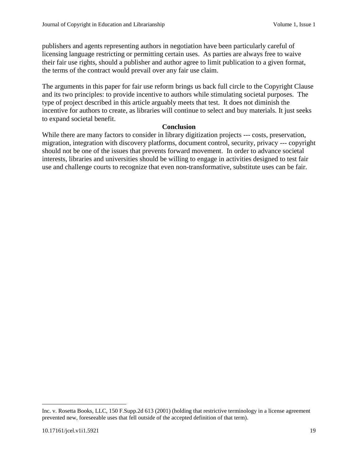publishers and agents representing authors in negotiation have been particularly careful of licensing language restricting or permitting certain uses. As parties are always free to waive their fair use rights, should a publisher and author agree to limit publication to a given format, the terms of the contract would prevail over any fair use claim.

The arguments in this paper for fair use reform brings us back full circle to the Copyright Clause and its two principles: to provide incentive to authors while stimulating societal purposes. The type of project described in this article arguably meets that test. It does not diminish the incentive for authors to create, as libraries will continue to select and buy materials. It just seeks to expand societal benefit.

#### **Conclusion**

While there are many factors to consider in library digitization projects --- costs, preservation, migration, integration with discovery platforms, document control, security, privacy --- copyright should not be one of the issues that prevents forward movement. In order to advance societal interests, libraries and universities should be willing to engage in activities designed to test fair use and challenge courts to recognize that even non-transformative, substitute uses can be fair.

Inc. v. Rosetta Books, LLC, 150 F.Supp.2d 613 (2001) (holding that restrictive terminology in a license agreement prevented new, foreseeable uses that fell outside of the accepted definition of that term).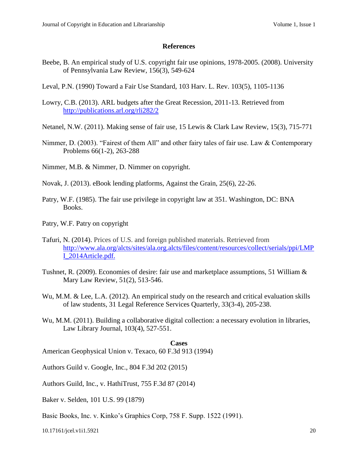#### **References**

- Beebe, B. An empirical study of U.S. copyright fair use opinions, 1978-2005. (2008). University of Pennsylvania Law Review, 156(3), 549-624
- Leval, P.N. (1990) Toward a Fair Use Standard, 103 Harv. L. Rev. 103(5), 1105-1136
- Lowry, C.B. (2013). ARL budgets after the Great Recession, 2011-13. Retrieved from <http://publications.arl.org/rli282/2>
- Netanel, N.W. (2011). Making sense of fair use, 15 Lewis & Clark Law Review, 15(3), 715-771
- Nimmer, D. (2003). "Fairest of them All" and other fairy tales of fair use. Law & Contemporary Problems 66(1-2), 263-288
- Nimmer, M.B. & Nimmer, D. Nimmer on copyright.
- Novak, J. (2013). eBook lending platforms, Against the Grain, 25(6), 22-26.
- Patry, W.F. (1985). The fair use privilege in copyright law at 351. Washington, DC: BNA Books.
- Patry, W.F. Patry on copyright
- Tafuri, N. (2014). Prices of U.S. and foreign published materials. Retrieved from [http://www.ala.org/alcts/sites/ala.org.alcts/files/content/resources/collect/serials/ppi/LMP](http://www.ala.org/alcts/sites/ala.org.alcts/files/content/resources/collect/serials/ppi/LMPI_2014Article.pdf) [I\\_2014Article.pdf.](http://www.ala.org/alcts/sites/ala.org.alcts/files/content/resources/collect/serials/ppi/LMPI_2014Article.pdf)
- Tushnet, R. (2009). Economies of desire: fair use and marketplace assumptions, 51 William & Mary Law Review, 51(2), 513-546.
- Wu, M.M. & Lee, L.A. (2012). An empirical study on the research and critical evaluation skills of law students*,* 31 Legal Reference Services Quarterly, 33(3-4), 205-238.
- Wu, M.M. (2011). Building a collaborative digital collection: a necessary evolution in libraries, Law Library Journal, 103(4), 527-551.

#### **Cases**

American Geophysical Union v. Texaco, 60 F.3d 913 (1994)

Authors Guild v. Google, Inc., 804 F.3d 202 (2015)

Authors Guild, Inc., v. HathiTrust, 755 F.3d 87 (2014)

- Baker v. Selden, 101 U.S. 99 (1879)
- Basic Books, Inc. v. Kinko's Graphics Corp, 758 F. Supp. 1522 (1991).

10.17161/jcel.v1i1.5921 20